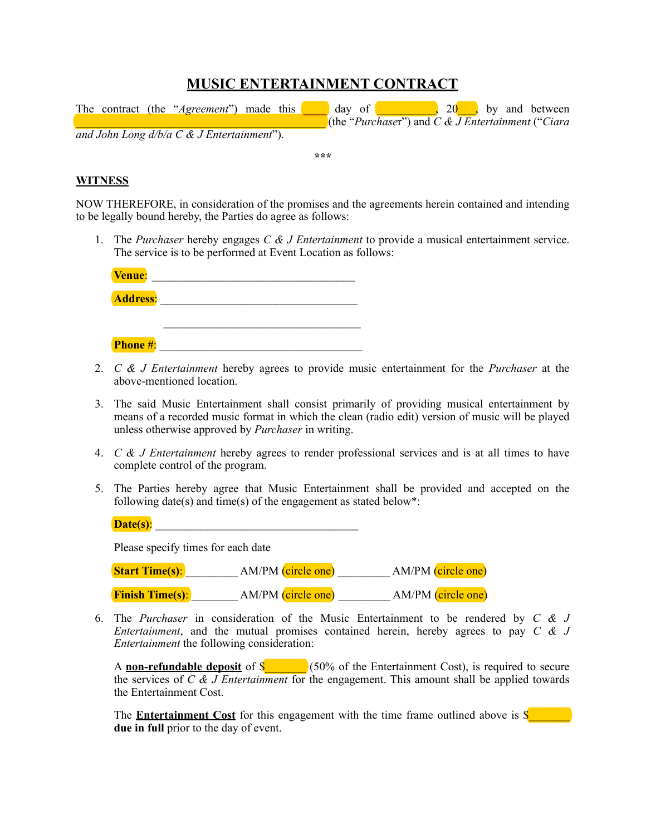# **MUSIC ENTERTAINMENT CONTRACT**

|                                                        |  |  | The contract (the " <i>Agreement</i> ") made this |  |  | $day$ of                                               |  |  | 20, by and between |
|--------------------------------------------------------|--|--|---------------------------------------------------|--|--|--------------------------------------------------------|--|--|--------------------|
|                                                        |  |  |                                                   |  |  | (the "Purchaser") and $C \& J$ Entertainment ("Ciara") |  |  |                    |
| and John Long $d/b/a \, C \, \& \, J$ Entertainment"). |  |  |                                                   |  |  |                                                        |  |  |                    |

**\*\*\***

# **WITNESS**

NOW THEREFORE, in consideration of the promises and the agreements herein contained and intending to be legally bound hereby, the Parties do agree as follows:

1. The *Purchaser* hereby engages *C & J Entertainment* to provide a musical entertainment service. The service is to be performed at Event Location as follows:

| Venue:          |  |
|-----------------|--|
| <b>Address:</b> |  |
|                 |  |
| <b>Phone #:</b> |  |

- 2. *C & J Entertainment* hereby agrees to provide music entertainment for the *Purchaser* at the above-mentioned location.
- 3. The said Music Entertainment shall consist primarily of providing musical entertainment by means of a recorded music format in which the clean (radio edit) version of music will be played unless otherwise approved by *Purchaser* in writing.
- 4. *C & J Entertainment* hereby agrees to render professional services and is at all times to have complete control of the program.
- 5. The Parties hereby agree that Music Entertainment shall be provided and accepted on the following date(s) and time(s) of the engagement as stated below\*:

| Date(s): |  |
|----------|--|
|          |  |

Please specify times for each date

| <b>Start Time(s):</b>  | AM/PM (circle one) | AM/PM (circle one) |
|------------------------|--------------------|--------------------|
| <b>Finish Time(s):</b> | AM/PM (circle one) | AM/PM (circle one) |

6. The *Purchaser* in consideration of the Music Entertainment to be rendered by *C & J Entertainment*, and the mutual promises contained herein, hereby agrees to pay *C & J Entertainment* the following consideration:

A **non-refundable deposit** of \$<sup>6</sup> (50% of the Entertainment Cost), is required to secure the services of *C & J Entertainment* for the engagement. This amount shall be applied towards the Entertainment Cost.

The **Entertainment Cost** for this engagement with the time frame outlined above is \$ **due in full** prior to the day of event.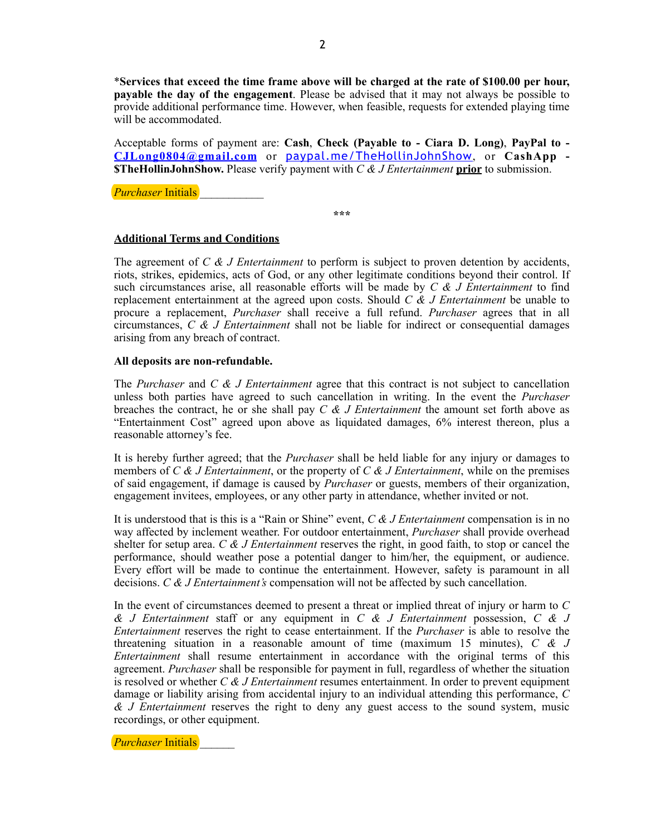\***Services that exceed the time frame above will be charged at the rate of \$100.00 per hour, payable the day of the engagement**. Please be advised that it may not always be possible to provide additional performance time. However, when feasible, requests for extended playing time will be accommodated.

Acceptable forms of payment are: **Cash**, **Check (Payable to - Ciara D. Long)**, **PayPal to - [CJLong0804@gmail.com](mailto:CJLong0804@gmail.com)** or [paypal.me/TheHollinJohnShow](http://paypal.me/TheHollinJohnShow), or **CashApp - \$TheHollinJohnShow.** Please verify payment with *C & J Entertainment* **prior** to submission.

*Purchaser* Initials

**\*\*\***

### **Additional Terms and Conditions**

The agreement of *C & J Entertainment* to perform is subject to proven detention by accidents, riots, strikes, epidemics, acts of God, or any other legitimate conditions beyond their control. If such circumstances arise, all reasonable efforts will be made by *C & J Entertainment* to find replacement entertainment at the agreed upon costs. Should *C & J Entertainment* be unable to procure a replacement, *Purchaser* shall receive a full refund. *Purchaser* agrees that in all circumstances, *C & J Entertainment* shall not be liable for indirect or consequential damages arising from any breach of contract.

#### **All deposits are non-refundable.**

The *Purchaser* and *C & J Entertainment* agree that this contract is not subject to cancellation unless both parties have agreed to such cancellation in writing. In the event the *Purchaser*  breaches the contract, he or she shall pay *C & J Entertainment* the amount set forth above as "Entertainment Cost" agreed upon above as liquidated damages, 6% interest thereon, plus a reasonable attorney's fee.

It is hereby further agreed; that the *Purchaser* shall be held liable for any injury or damages to members of *C & J Entertainment*, or the property of *C & J Entertainment*, while on the premises of said engagement, if damage is caused by *Purchaser* or guests, members of their organization, engagement invitees, employees, or any other party in attendance, whether invited or not.

It is understood that is this is a "Rain or Shine" event, *C & J Entertainment* compensation is in no way affected by inclement weather. For outdoor entertainment, *Purchaser* shall provide overhead shelter for setup area. *C & J Entertainment* reserves the right, in good faith, to stop or cancel the performance, should weather pose a potential danger to him/her, the equipment, or audience. Every effort will be made to continue the entertainment. However, safety is paramount in all decisions. *C & J Entertainment's* compensation will not be affected by such cancellation.

In the event of circumstances deemed to present a threat or implied threat of injury or harm to *C & J Entertainment* staff or any equipment in *C & J Entertainment* possession, *C & J Entertainment* reserves the right to cease entertainment. If the *Purchaser* is able to resolve the threatening situation in a reasonable amount of time (maximum 15 minutes), *C & J Entertainment* shall resume entertainment in accordance with the original terms of this agreement. *Purchaser* shall be responsible for payment in full, regardless of whether the situation is resolved or whether *C & J Entertainment* resumes entertainment. In order to prevent equipment damage or liability arising from accidental injury to an individual attending this performance, *C & J Entertainment* reserves the right to deny any guest access to the sound system, music recordings, or other equipment.

*Purchaser* Initials \_\_\_\_\_\_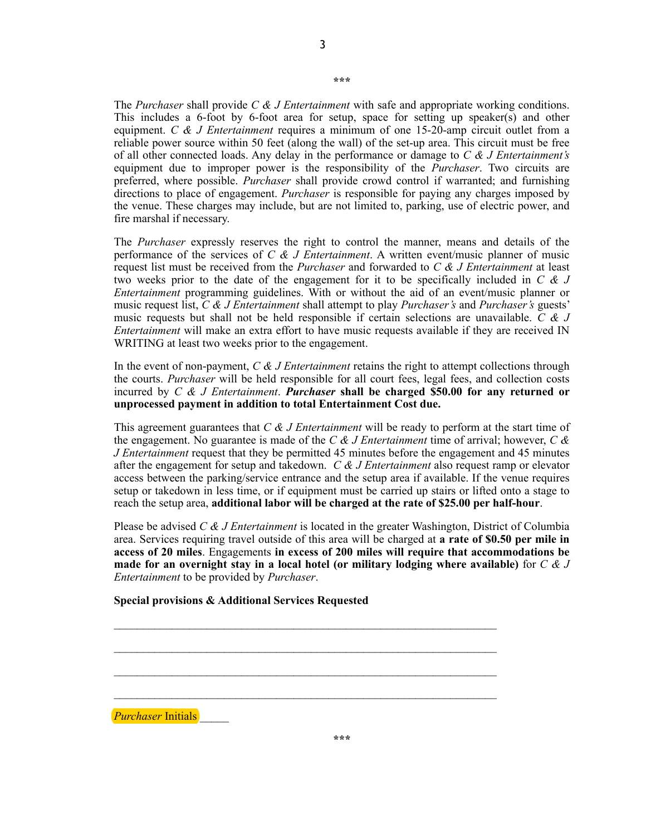**\*\*\***

The *Purchaser* shall provide *C & J Entertainment* with safe and appropriate working conditions. This includes a 6-foot by 6-foot area for setup, space for setting up speaker(s) and other equipment. *C & J Entertainment* requires a minimum of one 15-20-amp circuit outlet from a reliable power source within 50 feet (along the wall) of the set-up area. This circuit must be free of all other connected loads. Any delay in the performance or damage to *C & J Entertainment's* equipment due to improper power is the responsibility of the *Purchaser*. Two circuits are preferred, where possible. *Purchaser* shall provide crowd control if warranted; and furnishing directions to place of engagement. *Purchaser* is responsible for paying any charges imposed by the venue. These charges may include, but are not limited to, parking, use of electric power, and fire marshal if necessary.

The *Purchaser* expressly reserves the right to control the manner, means and details of the performance of the services of *C & J Entertainment*. A written event/music planner of music request list must be received from the *Purchaser* and forwarded to *C & J Entertainment* at least two weeks prior to the date of the engagement for it to be specifically included in *C & J Entertainment* programming guidelines. With or without the aid of an event/music planner or music request list, *C & J Entertainment* shall attempt to play *Purchaser's* and *Purchaser's* guests' music requests but shall not be held responsible if certain selections are unavailable. *C & J Entertainment* will make an extra effort to have music requests available if they are received IN WRITING at least two weeks prior to the engagement.

In the event of non-payment, *C & J Entertainment* retains the right to attempt collections through the courts. *Purchaser* will be held responsible for all court fees, legal fees, and collection costs incurred by *C & J Entertainment*. *Purchaser* **shall be charged \$50.00 for any returned or unprocessed payment in addition to total Entertainment Cost due.**

This agreement guarantees that *C & J Entertainment* will be ready to perform at the start time of the engagement. No guarantee is made of the *C & J Entertainment* time of arrival; however, *C & J Entertainment* request that they be permitted 45 minutes before the engagement and 45 minutes after the engagement for setup and takedown. *C & J Entertainment* also request ramp or elevator access between the parking/service entrance and the setup area if available. If the venue requires setup or takedown in less time, or if equipment must be carried up stairs or lifted onto a stage to reach the setup area, **additional labor will be charged at the rate of \$25.00 per half-hour**.

Please be advised *C & J Entertainment* is located in the greater Washington, District of Columbia area. Services requiring travel outside of this area will be charged at **a rate of \$0.50 per mile in access of 20 miles**. Engagements **in excess of 200 miles will require that accommodations be made for an overnight stay in a local hotel (or military lodging where available)** for *C & J Entertainment* to be provided by *Purchaser*.

 $\mathcal{L}_\text{max} = \frac{1}{2} \sum_{i=1}^n \mathcal{L}_\text{max}(\mathbf{z}_i - \mathbf{z}_i)$ 

 $\mathcal{L}_\mathcal{L} = \mathcal{L}_\mathcal{L} = \mathcal{L}_\mathcal{L} = \mathcal{L}_\mathcal{L} = \mathcal{L}_\mathcal{L} = \mathcal{L}_\mathcal{L} = \mathcal{L}_\mathcal{L} = \mathcal{L}_\mathcal{L} = \mathcal{L}_\mathcal{L} = \mathcal{L}_\mathcal{L} = \mathcal{L}_\mathcal{L} = \mathcal{L}_\mathcal{L} = \mathcal{L}_\mathcal{L} = \mathcal{L}_\mathcal{L} = \mathcal{L}_\mathcal{L} = \mathcal{L}_\mathcal{L} = \mathcal{L}_\mathcal{L}$ 

 $\mathcal{L}_\text{max} = \frac{1}{2} \sum_{i=1}^n \mathcal{L}_\text{max}(\mathbf{z}_i - \mathbf{z}_i)$ 

 $\mathcal{L}_\text{max} = \frac{1}{2} \sum_{i=1}^n \mathcal{L}_\text{max}(\mathbf{z}_i - \mathbf{z}_i)$ 

**Special provisions & Additional Services Requested** 

*Purchaser Initials*